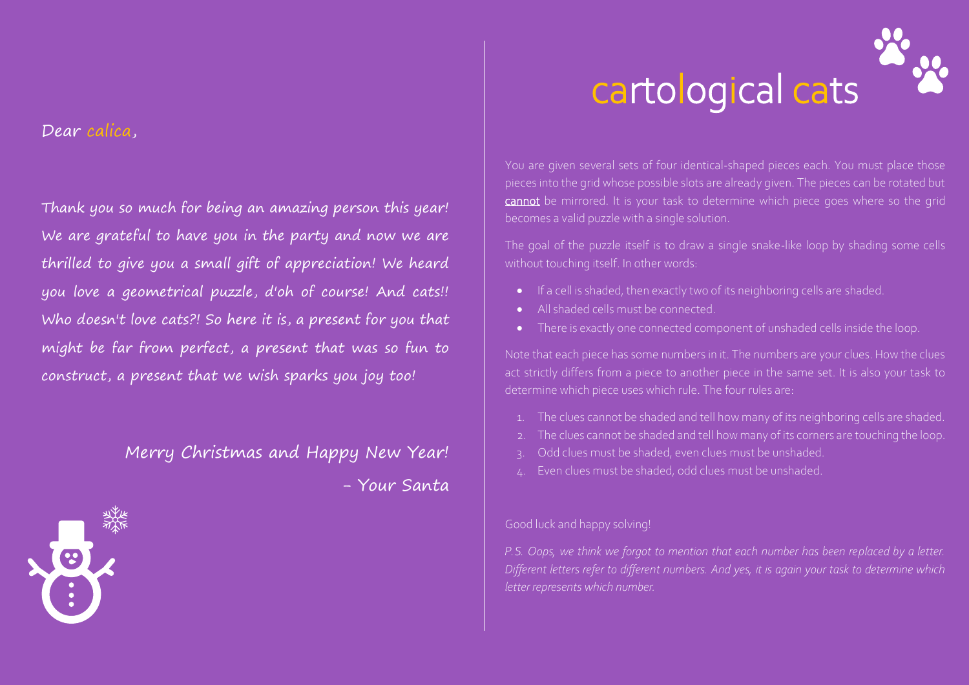#### Dear calica,

### Thank you so much for being an amazing person this year! We are grateful to have you in the party and now we are thrilled to give you a small gift of appreciation! We heard you love a geometrical puzzle, d'oh of course! And cats!! Who doesn't love cats?! So here it is, a present for you that might be far from perfect, a present that was so fun to construct, a present that we wish sparks you joy too!

## Merry Christmas and Happy New Year!

- Your Santa

# cartological cats

You are given several sets of four identical-shaped pieces each. You must place those pieces into the grid whose possible slots are already given. The pieces can be rotated but cannot be mirrored. It is your task to determine which piece goes where so the grid becomes a valid puzzle with a single solution.

The goal of the puzzle itself is to draw a single snake-like loop by shading some cells without touching itself. In other words:

- If a cell is shaded, then exactly two of its neighboring cells are shaded.
- All shaded cells must be connected.
- There is exactly one connected component of unshaded cells inside the loop.

Note that each piece has some numbers in it. The numbers are your clues. How the clues act strictly differs from a piece to another piece in the same set. It is also your task to determine which piece uses which rule. The four rules are:

- 1. The clues cannot be shaded and tell how many of its neighboring cells are shaded.
- The clues cannot be shaded and tell how many of its corners are touching the loop.
- Odd clues must be shaded, even clues must be unshaded.
- 4. Even clues must be shaded, odd clues must be unshaded.

#### Good luck and happy solving!

*P.S. Oops, we think we forgot to mention that each number has been replaced by a letter. Different letters refer to different numbers. And yes, it is again your task to determine which letter represents which number.*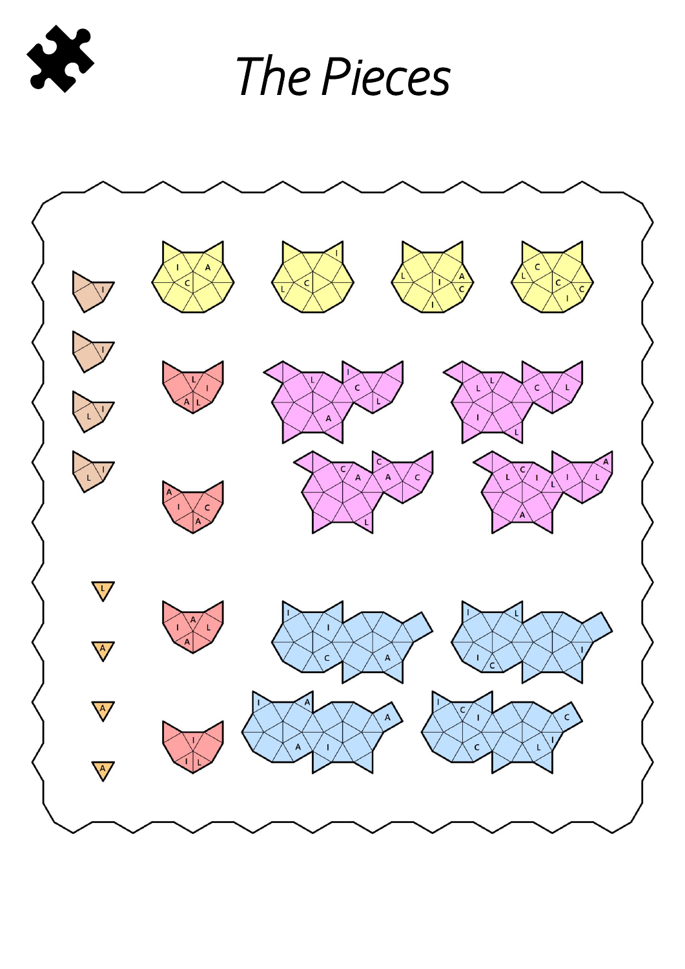

*The Pieces*